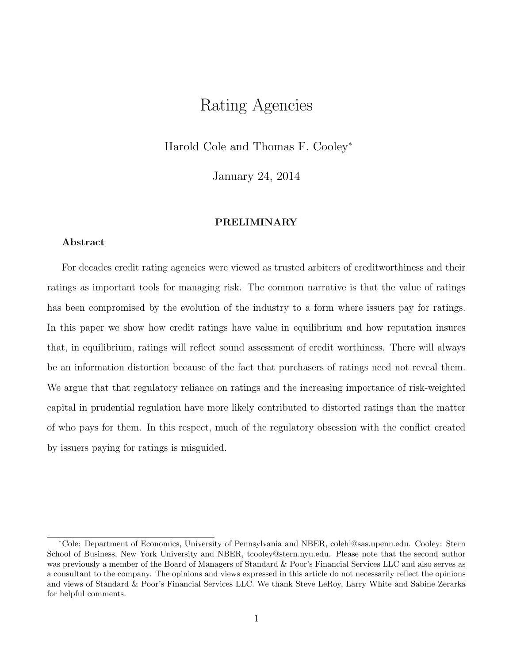# Rating Agencies

Harold Cole and Thomas F. Cooley<sup>∗</sup>

January 24, 2014

#### PRELIMINARY

#### Abstract

For decades credit rating agencies were viewed as trusted arbiters of creditworthiness and their ratings as important tools for managing risk. The common narrative is that the value of ratings has been compromised by the evolution of the industry to a form where issuers pay for ratings. In this paper we show how credit ratings have value in equilibrium and how reputation insures that, in equilibrium, ratings will reflect sound assessment of credit worthiness. There will always be an information distortion because of the fact that purchasers of ratings need not reveal them. We argue that that regulatory reliance on ratings and the increasing importance of risk-weighted capital in prudential regulation have more likely contributed to distorted ratings than the matter of who pays for them. In this respect, much of the regulatory obsession with the conflict created by issuers paying for ratings is misguided.

<sup>∗</sup>Cole: Department of Economics, University of Pennsylvania and NBER, colehl@sas.upenn.edu. Cooley: Stern School of Business, New York University and NBER, tcooley@stern.nyu.edu. Please note that the second author was previously a member of the Board of Managers of Standard & Poor's Financial Services LLC and also serves as a consultant to the company. The opinions and views expressed in this article do not necessarily reflect the opinions and views of Standard & Poor's Financial Services LLC. We thank Steve LeRoy, Larry White and Sabine Zerarka for helpful comments.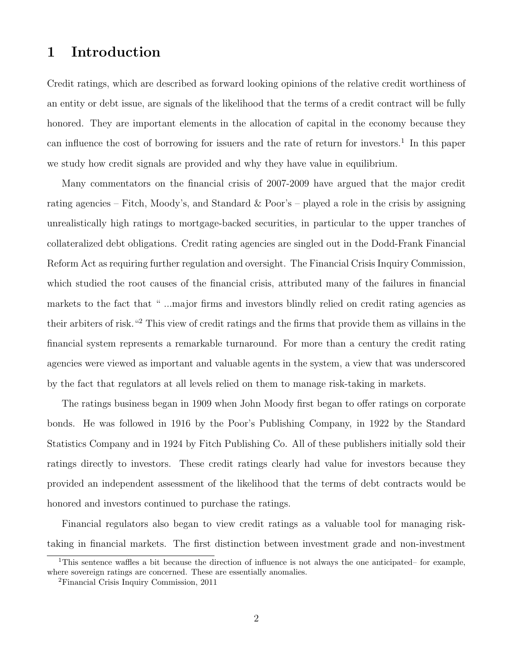# 1 Introduction

Credit ratings, which are described as forward looking opinions of the relative credit worthiness of an entity or debt issue, are signals of the likelihood that the terms of a credit contract will be fully honored. They are important elements in the allocation of capital in the economy because they can influence the cost of borrowing for issuers and the rate of return for investors.<sup>1</sup> In this paper we study how credit signals are provided and why they have value in equilibrium.

Many commentators on the financial crisis of 2007-2009 have argued that the major credit rating agencies – Fitch, Moody's, and Standard  $&$  Poor's – played a role in the crisis by assigning unrealistically high ratings to mortgage-backed securities, in particular to the upper tranches of collateralized debt obligations. Credit rating agencies are singled out in the Dodd-Frank Financial Reform Act as requiring further regulation and oversight. The Financial Crisis Inquiry Commission, which studied the root causes of the financial crisis, attributed many of the failures in financial markets to the fact that " ...major firms and investors blindly relied on credit rating agencies as their arbiters of risk."<sup>2</sup> This view of credit ratings and the firms that provide them as villains in the financial system represents a remarkable turnaround. For more than a century the credit rating agencies were viewed as important and valuable agents in the system, a view that was underscored by the fact that regulators at all levels relied on them to manage risk-taking in markets.

The ratings business began in 1909 when John Moody first began to offer ratings on corporate bonds. He was followed in 1916 by the Poor's Publishing Company, in 1922 by the Standard Statistics Company and in 1924 by Fitch Publishing Co. All of these publishers initially sold their ratings directly to investors. These credit ratings clearly had value for investors because they provided an independent assessment of the likelihood that the terms of debt contracts would be honored and investors continued to purchase the ratings.

Financial regulators also began to view credit ratings as a valuable tool for managing risktaking in financial markets. The first distinction between investment grade and non-investment

<sup>&</sup>lt;sup>1</sup>This sentence waffles a bit because the direction of influence is not always the one anticipated– for example, where sovereign ratings are concerned. These are essentially anomalies.

<sup>2</sup>Financial Crisis Inquiry Commission, 2011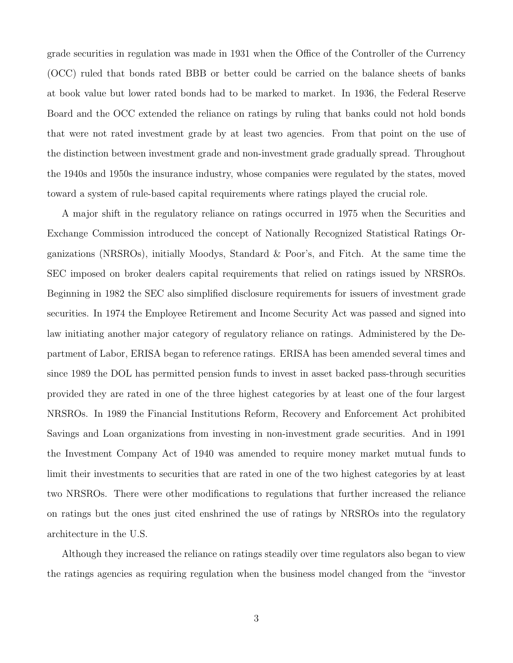grade securities in regulation was made in 1931 when the Office of the Controller of the Currency (OCC) ruled that bonds rated BBB or better could be carried on the balance sheets of banks at book value but lower rated bonds had to be marked to market. In 1936, the Federal Reserve Board and the OCC extended the reliance on ratings by ruling that banks could not hold bonds that were not rated investment grade by at least two agencies. From that point on the use of the distinction between investment grade and non-investment grade gradually spread. Throughout the 1940s and 1950s the insurance industry, whose companies were regulated by the states, moved toward a system of rule-based capital requirements where ratings played the crucial role.

A major shift in the regulatory reliance on ratings occurred in 1975 when the Securities and Exchange Commission introduced the concept of Nationally Recognized Statistical Ratings Organizations (NRSROs), initially Moodys, Standard & Poor's, and Fitch. At the same time the SEC imposed on broker dealers capital requirements that relied on ratings issued by NRSROs. Beginning in 1982 the SEC also simplified disclosure requirements for issuers of investment grade securities. In 1974 the Employee Retirement and Income Security Act was passed and signed into law initiating another major category of regulatory reliance on ratings. Administered by the Department of Labor, ERISA began to reference ratings. ERISA has been amended several times and since 1989 the DOL has permitted pension funds to invest in asset backed pass-through securities provided they are rated in one of the three highest categories by at least one of the four largest NRSROs. In 1989 the Financial Institutions Reform, Recovery and Enforcement Act prohibited Savings and Loan organizations from investing in non-investment grade securities. And in 1991 the Investment Company Act of 1940 was amended to require money market mutual funds to limit their investments to securities that are rated in one of the two highest categories by at least two NRSROs. There were other modifications to regulations that further increased the reliance on ratings but the ones just cited enshrined the use of ratings by NRSROs into the regulatory architecture in the U.S.

Although they increased the reliance on ratings steadily over time regulators also began to view the ratings agencies as requiring regulation when the business model changed from the "investor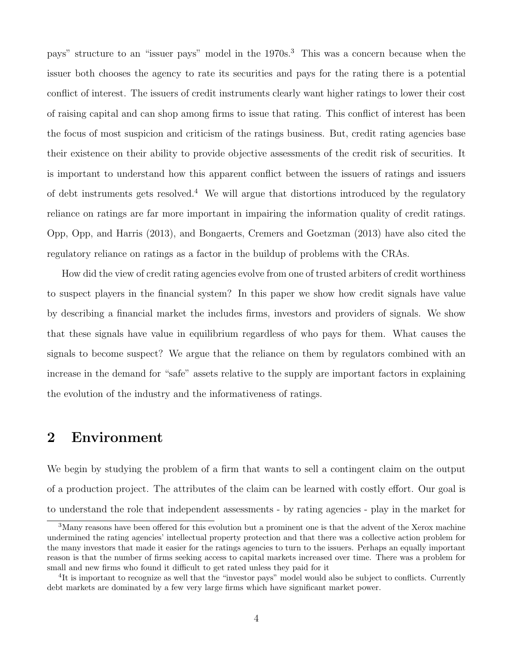pays" structure to an "issuer pays" model in the 1970s.<sup>3</sup> This was a concern because when the issuer both chooses the agency to rate its securities and pays for the rating there is a potential conflict of interest. The issuers of credit instruments clearly want higher ratings to lower their cost of raising capital and can shop among firms to issue that rating. This conflict of interest has been the focus of most suspicion and criticism of the ratings business. But, credit rating agencies base their existence on their ability to provide objective assessments of the credit risk of securities. It is important to understand how this apparent conflict between the issuers of ratings and issuers of debt instruments gets resolved.<sup>4</sup> We will argue that distortions introduced by the regulatory reliance on ratings are far more important in impairing the information quality of credit ratings. Opp, Opp, and Harris (2013), and Bongaerts, Cremers and Goetzman (2013) have also cited the regulatory reliance on ratings as a factor in the buildup of problems with the CRAs.

How did the view of credit rating agencies evolve from one of trusted arbiters of credit worthiness to suspect players in the financial system? In this paper we show how credit signals have value by describing a financial market the includes firms, investors and providers of signals. We show that these signals have value in equilibrium regardless of who pays for them. What causes the signals to become suspect? We argue that the reliance on them by regulators combined with an increase in the demand for "safe" assets relative to the supply are important factors in explaining the evolution of the industry and the informativeness of ratings.

## 2 Environment

We begin by studying the problem of a firm that wants to sell a contingent claim on the output of a production project. The attributes of the claim can be learned with costly effort. Our goal is to understand the role that independent assessments - by rating agencies - play in the market for

<sup>3</sup>Many reasons have been offered for this evolution but a prominent one is that the advent of the Xerox machine undermined the rating agencies' intellectual property protection and that there was a collective action problem for the many investors that made it easier for the ratings agencies to turn to the issuers. Perhaps an equally important reason is that the number of firms seeking access to capital markets increased over time. There was a problem for small and new firms who found it difficult to get rated unless they paid for it

<sup>&</sup>lt;sup>4</sup>It is important to recognize as well that the "investor pays" model would also be subject to conflicts. Currently debt markets are dominated by a few very large firms which have significant market power.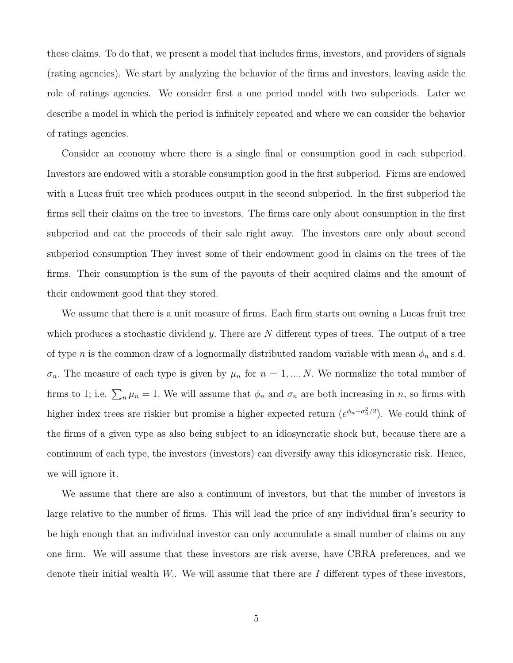these claims. To do that, we present a model that includes firms, investors, and providers of signals (rating agencies). We start by analyzing the behavior of the firms and investors, leaving aside the role of ratings agencies. We consider first a one period model with two subperiods. Later we describe a model in which the period is infinitely repeated and where we can consider the behavior of ratings agencies.

Consider an economy where there is a single final or consumption good in each subperiod. Investors are endowed with a storable consumption good in the first subperiod. Firms are endowed with a Lucas fruit tree which produces output in the second subperiod. In the first subperiod the firms sell their claims on the tree to investors. The firms care only about consumption in the first subperiod and eat the proceeds of their sale right away. The investors care only about second subperiod consumption They invest some of their endowment good in claims on the trees of the firms. Their consumption is the sum of the payouts of their acquired claims and the amount of their endowment good that they stored.

We assume that there is a unit measure of firms. Each firm starts out owning a Lucas fruit tree which produces a stochastic dividend y. There are  $N$  different types of trees. The output of a tree of type *n* is the common draw of a lognormally distributed random variable with mean  $\phi_n$  and s.d.  $\sigma_n$ . The measure of each type is given by  $\mu_n$  for  $n = 1, ..., N$ . We normalize the total number of firms to 1; i.e.  $\sum_{n} \mu_n = 1$ . We will assume that  $\phi_n$  and  $\sigma_n$  are both increasing in n, so firms with higher index trees are riskier but promise a higher expected return  $(e^{\phi_n + \sigma_n^2/2})$ . We could think of the firms of a given type as also being subject to an idiosyncratic shock but, because there are a continuum of each type, the investors (investors) can diversify away this idiosyncratic risk. Hence, we will ignore it.

We assume that there are also a continuum of investors, but that the number of investors is large relative to the number of firms. This will lead the price of any individual firm's security to be high enough that an individual investor can only accumulate a small number of claims on any one firm. We will assume that these investors are risk averse, have CRRA preferences, and we denote their initial wealth W.. We will assume that there are  $I$  different types of these investors,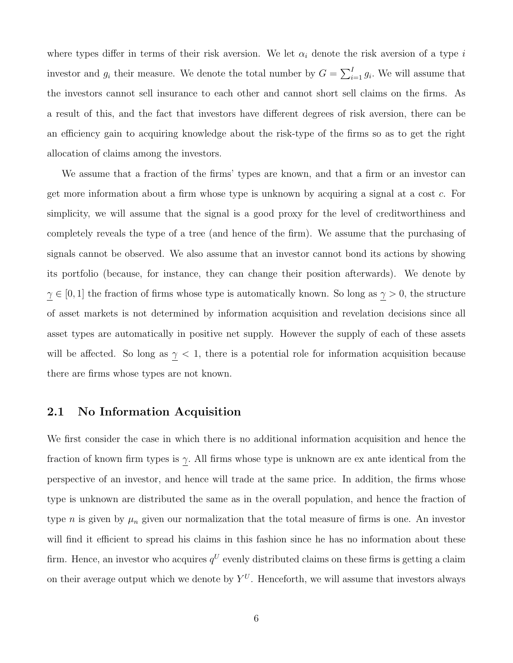where types differ in terms of their risk aversion. We let  $\alpha_i$  denote the risk aversion of a type i investor and  $g_i$  their measure. We denote the total number by  $G = \sum_{i=1}^{I} g_i$ . We will assume that the investors cannot sell insurance to each other and cannot short sell claims on the firms. As a result of this, and the fact that investors have different degrees of risk aversion, there can be an efficiency gain to acquiring knowledge about the risk-type of the firms so as to get the right allocation of claims among the investors.

We assume that a fraction of the firms' types are known, and that a firm or an investor can get more information about a firm whose type is unknown by acquiring a signal at a cost c. For simplicity, we will assume that the signal is a good proxy for the level of creditworthiness and completely reveals the type of a tree (and hence of the firm). We assume that the purchasing of signals cannot be observed. We also assume that an investor cannot bond its actions by showing its portfolio (because, for instance, they can change their position afterwards). We denote by  $\gamma \in [0, 1]$  the fraction of firms whose type is automatically known. So long as  $\gamma > 0$ , the structure of asset markets is not determined by information acquisition and revelation decisions since all asset types are automatically in positive net supply. However the supply of each of these assets will be affected. So long as  $\gamma$  < 1, there is a potential role for information acquisition because there are firms whose types are not known.

### 2.1 No Information Acquisition

We first consider the case in which there is no additional information acquisition and hence the fraction of known firm types is  $\gamma$ . All firms whose type is unknown are ex ante identical from the perspective of an investor, and hence will trade at the same price. In addition, the firms whose type is unknown are distributed the same as in the overall population, and hence the fraction of type *n* is given by  $\mu_n$  given our normalization that the total measure of firms is one. An investor will find it efficient to spread his claims in this fashion since he has no information about these firm. Hence, an investor who acquires  $q^U$  evenly distributed claims on these firms is getting a claim on their average output which we denote by  $Y^U$ . Henceforth, we will assume that investors always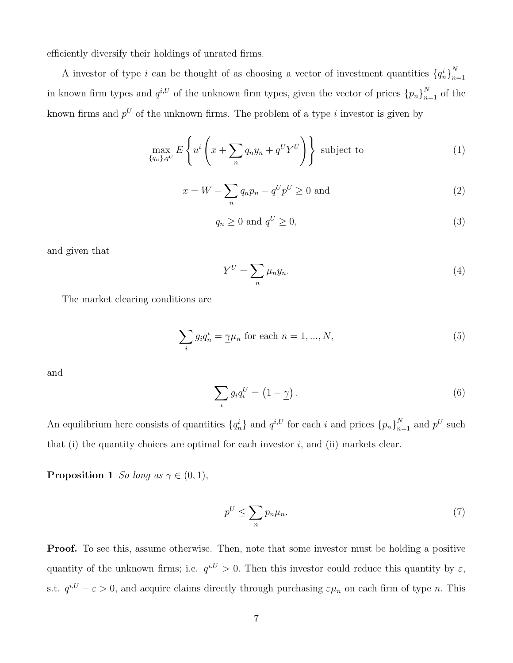efficiently diversify their holdings of unrated firms.

A investor of type i can be thought of as choosing a vector of investment quantities  ${q_n^i}_{n=1}^N$  $n=1$ in known firm types and  $q^{i,U}$  of the unknown firm types, given the vector of prices  ${p_n}_{n=1}^N$  of the known firms and  $p^U$  of the unknown firms. The problem of a type i investor is given by

$$
\max_{\{q_n\}, q^U} E\left\{ u^i \left( x + \sum_n q_n y_n + q^U Y^U \right) \right\} \text{ subject to } (1)
$$

$$
x = W - \sum_{n} q_n p_n - q^U p^U \ge 0
$$
 and (2)

$$
q_n \ge 0 \text{ and } q^U \ge 0,\tag{3}
$$

and given that

$$
Y^U = \sum_n \mu_n y_n. \tag{4}
$$

The market clearing conditions are

$$
\sum_{i} g_i q_n^i = \underline{\gamma} \mu_n \text{ for each } n = 1, ..., N,
$$
\n(5)

and

$$
\sum_{i} g_i q_i^U = \left(1 - \underline{\gamma}\right). \tag{6}
$$

An equilibrium here consists of quantities  $\{q_n^i\}$  and  $q^{i,U}$  for each i and prices  $\{p_n\}_{n=1}^N$  and  $p^U$  such that (i) the quantity choices are optimal for each investor  $i$ , and (ii) markets clear.

**Proposition 1** So long as  $\gamma \in (0, 1)$ ,

$$
p^U \le \sum_n p_n \mu_n. \tag{7}
$$

Proof. To see this, assume otherwise. Then, note that some investor must be holding a positive quantity of the unknown firms; i.e.  $q^{i,U} > 0$ . Then this investor could reduce this quantity by  $\varepsilon$ , s.t.  $q^{i,U} - \varepsilon > 0$ , and acquire claims directly through purchasing  $\varepsilon \mu_n$  on each firm of type n. This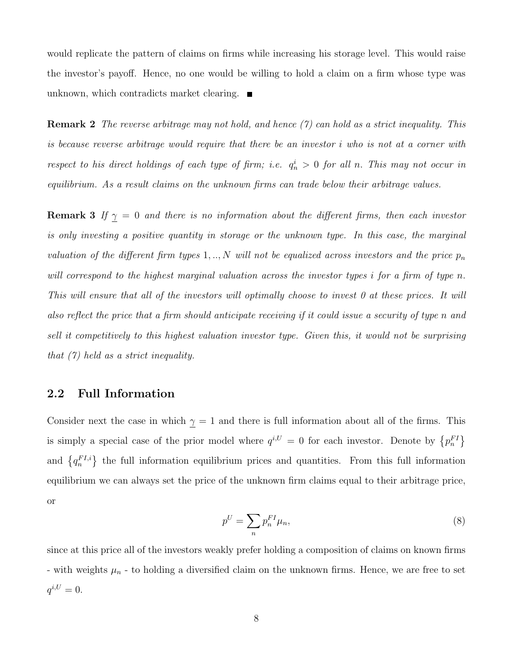would replicate the pattern of claims on firms while increasing his storage level. This would raise the investor's payoff. Hence, no one would be willing to hold a claim on a firm whose type was unknown, which contradicts market clearing.  $\blacksquare$ 

**Remark 2** The reverse arbitrage may not hold, and hence  $(7)$  can hold as a strict inequality. This is because reverse arbitrage would require that there be an investor i who is not at a corner with respect to his direct holdings of each type of firm; i.e.  $q_n^i > 0$  for all n. This may not occur in equilibrium. As a result claims on the unknown firms can trade below their arbitrage values.

**Remark 3** If  $\gamma = 0$  and there is no information about the different firms, then each investor is only investing a positive quantity in storage or the unknown type. In this case, the marginal valuation of the different firm types 1, .., N will not be equalized across investors and the price  $p_n$ will correspond to the highest marginal valuation across the investor types i for a firm of type n. This will ensure that all of the investors will optimally choose to invest 0 at these prices. It will also reflect the price that a firm should anticipate receiving if it could issue a security of type n and sell it competitively to this highest valuation investor type. Given this, it would not be surprising that (7) held as a strict inequality.

#### 2.2 Full Information

Consider next the case in which  $\gamma = 1$  and there is full information about all of the firms. This is simply a special case of the prior model where  $q^{i,U} = 0$  for each investor. Denote by  ${p_n^{FI}}$ and  $\{q_n^{FI,i}\}\$  the full information equilibrium prices and quantities. From this full information equilibrium we can always set the price of the unknown firm claims equal to their arbitrage price, or

$$
p^U = \sum_n p_n^{FI} \mu_n,\tag{8}
$$

since at this price all of the investors weakly prefer holding a composition of claims on known firms - with weights  $\mu_n$  - to holding a diversified claim on the unknown firms. Hence, we are free to set  $q^{i,U} = 0.$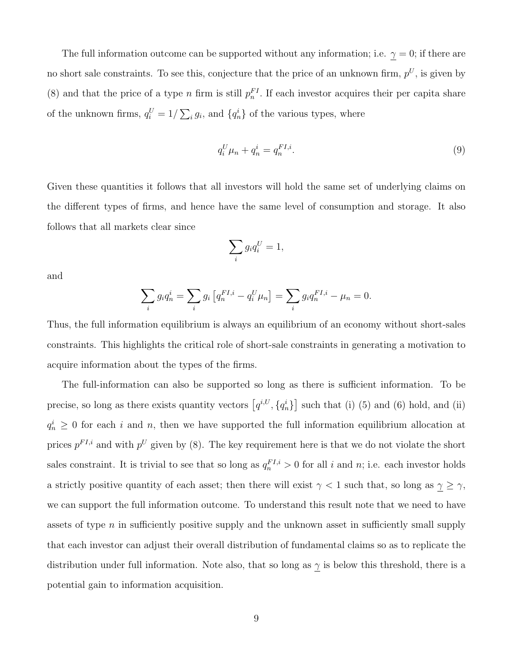The full information outcome can be supported without any information; i.e.  $\gamma = 0$ ; if there are no short sale constraints. To see this, conjecture that the price of an unknown firm,  $p^U$ , is given by (8) and that the price of a type n firm is still  $p_n^{FI}$ . If each investor acquires their per capita share of the unknown firms,  $q_i^U = 1/\sum_i g_i$ , and  $\{q_n^i\}$  of the various types, where

$$
q_i^U \mu_n + q_n^i = q_n^{FI,i}.\tag{9}
$$

Given these quantities it follows that all investors will hold the same set of underlying claims on the different types of firms, and hence have the same level of consumption and storage. It also follows that all markets clear since

$$
\sum_i g_i q_i^U = 1,
$$

and

$$
\sum_{i} g_i q_n^i = \sum_{i} g_i \left[ q_n^{FI,i} - q_i^U \mu_n \right] = \sum_{i} g_i q_n^{FI,i} - \mu_n = 0.
$$

Thus, the full information equilibrium is always an equilibrium of an economy without short-sales constraints. This highlights the critical role of short-sale constraints in generating a motivation to acquire information about the types of the firms.

The full-information can also be supported so long as there is sufficient information. To be precise, so long as there exists quantity vectors  $[q^{i,U}, \{q_n^i\}]$  such that (i) (5) and (6) hold, and (ii)  $q_n^i \geq 0$  for each i and n, then we have supported the full information equilibrium allocation at prices  $p^{FI,i}$  and with  $p^U$  given by (8). The key requirement here is that we do not violate the short sales constraint. It is trivial to see that so long as  $q_n^{FI,i} > 0$  for all i and n; i.e. each investor holds a strictly positive quantity of each asset; then there will exist  $\gamma < 1$  such that, so long as  $\gamma \ge \gamma$ , we can support the full information outcome. To understand this result note that we need to have assets of type  $n$  in sufficiently positive supply and the unknown asset in sufficiently small supply that each investor can adjust their overall distribution of fundamental claims so as to replicate the distribution under full information. Note also, that so long as  $\gamma$  is below this threshold, there is a potential gain to information acquisition.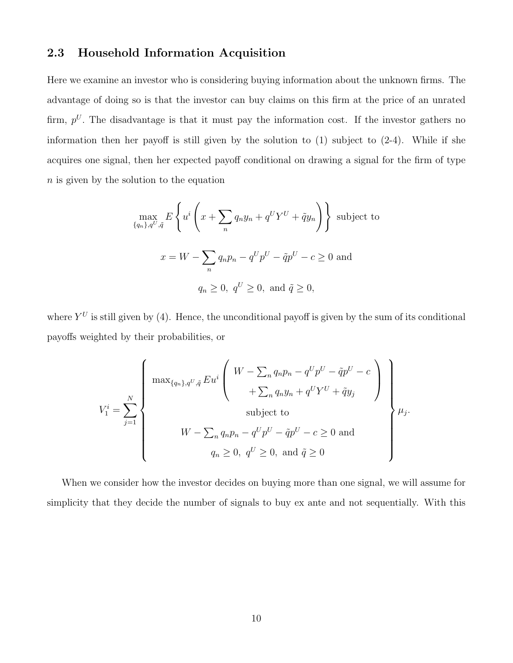### 2.3 Household Information Acquisition

Here we examine an investor who is considering buying information about the unknown firms. The advantage of doing so is that the investor can buy claims on this firm at the price of an unrated firm,  $p^U$ . The disadvantage is that it must pay the information cost. If the investor gathers no information then her payoff is still given by the solution to (1) subject to (2-4). While if she acquires one signal, then her expected payoff conditional on drawing a signal for the firm of type n is given by the solution to the equation

$$
\max_{\{q_n\}, q^U, \tilde{q}} E\left\{ u^i \left( x + \sum_n q_n y_n + q^U Y^U + \tilde{q} y_n \right) \right\} \text{ subject to}
$$
\n
$$
x = W - \sum_n q_n p_n - q^U p^U - \tilde{q} p^U - c \ge 0 \text{ and}
$$
\n
$$
q_n \ge 0, \ q^U \ge 0, \text{ and } \tilde{q} \ge 0,
$$

where  $Y^U$  is still given by (4). Hence, the unconditional payoff is given by the sum of its conditional payoffs weighted by their probabilities, or

$$
V_1^i = \sum_{j=1}^N \left\{ \begin{array}{c} \max_{\{q_n\}, q^U, \tilde{q}} E u^i \left( \begin{array}{c} W - \sum_n q_n p_n - q^U p^U - \tilde{q} p^U - c \\ + \sum_n q_n y_n + q^U Y^U + \tilde{q} y_j \end{array} \right) \\ W - \sum_n q_n p_n - q^U p^U - \tilde{q} p^U - c \ge 0 \text{ and} \\ q_n \ge 0, \ q^U \ge 0, \text{ and } \tilde{q} \ge 0 \end{array} \right\} \mu_j.
$$

When we consider how the investor decides on buying more than one signal, we will assume for simplicity that they decide the number of signals to buy ex ante and not sequentially. With this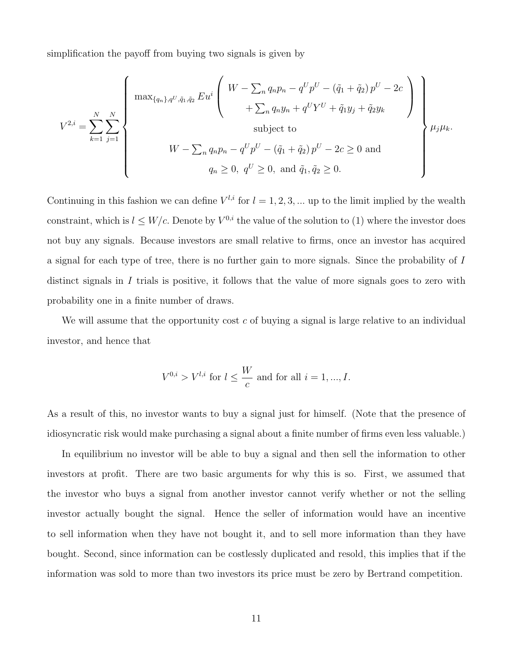simplification the payoff from buying two signals is given by

$$
V^{2,i} = \sum_{k=1}^{N} \sum_{j=1}^{N} \left\{ \begin{array}{c} \max_{\{q_n\}, q^U, \tilde{q}_1, \tilde{q}_2} E u^i \left( \begin{array}{c} W - \sum_n q_n p_n - q^U p^U - (\tilde{q}_1 + \tilde{q}_2) p^U - 2c \\ + \sum_n q_n y_n + q^U Y^U + \tilde{q}_1 y_j + \tilde{q}_2 y_k \end{array} \right) \\ \text{subject to} \\ W - \sum_n q_n p_n - q^U p^U - (\tilde{q}_1 + \tilde{q}_2) p^U - 2c \ge 0 \text{ and} \\ q_n \ge 0, \ q^U \ge 0, \text{ and } \tilde{q}_1, \tilde{q}_2 \ge 0. \end{array} \right\} \mu_j \mu_k.
$$

Continuing in this fashion we can define  $V^{l,i}$  for  $l = 1, 2, 3, ...$  up to the limit implied by the wealth constraint, which is  $l \leq W/c$ . Denote by  $V^{0,i}$  the value of the solution to (1) where the investor does not buy any signals. Because investors are small relative to firms, once an investor has acquired a signal for each type of tree, there is no further gain to more signals. Since the probability of I distinct signals in I trials is positive, it follows that the value of more signals goes to zero with probability one in a finite number of draws.

We will assume that the opportunity cost  $c$  of buying a signal is large relative to an individual investor, and hence that

$$
V^{0,i} > V^{l,i}
$$
 for  $l \le \frac{W}{c}$  and for all  $i = 1, ..., I$ .

As a result of this, no investor wants to buy a signal just for himself. (Note that the presence of idiosyncratic risk would make purchasing a signal about a finite number of firms even less valuable.)

In equilibrium no investor will be able to buy a signal and then sell the information to other investors at profit. There are two basic arguments for why this is so. First, we assumed that the investor who buys a signal from another investor cannot verify whether or not the selling investor actually bought the signal. Hence the seller of information would have an incentive to sell information when they have not bought it, and to sell more information than they have bought. Second, since information can be costlessly duplicated and resold, this implies that if the information was sold to more than two investors its price must be zero by Bertrand competition.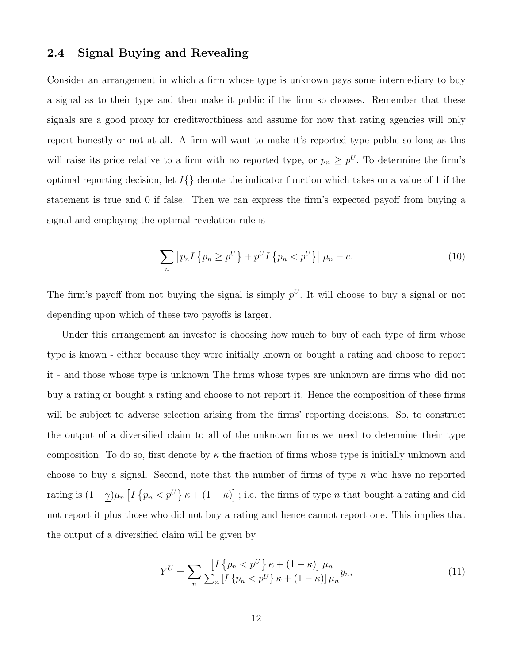### 2.4 Signal Buying and Revealing

Consider an arrangement in which a firm whose type is unknown pays some intermediary to buy a signal as to their type and then make it public if the firm so chooses. Remember that these signals are a good proxy for creditworthiness and assume for now that rating agencies will only report honestly or not at all. A firm will want to make it's reported type public so long as this will raise its price relative to a firm with no reported type, or  $p_n \geq p^U$ . To determine the firm's optimal reporting decision, let  $I\{\}$  denote the indicator function which takes on a value of 1 if the statement is true and 0 if false. Then we can express the firm's expected payoff from buying a signal and employing the optimal revelation rule is

$$
\sum_{n} [p_n I \{p_n \ge p^U\} + p^U I \{p_n < p^U\}] \mu_n - c. \tag{10}
$$

The firm's payoff from not buying the signal is simply  $p^U$ . It will choose to buy a signal or not depending upon which of these two payoffs is larger.

Under this arrangement an investor is choosing how much to buy of each type of firm whose type is known - either because they were initially known or bought a rating and choose to report it - and those whose type is unknown The firms whose types are unknown are firms who did not buy a rating or bought a rating and choose to not report it. Hence the composition of these firms will be subject to adverse selection arising from the firms' reporting decisions. So, to construct the output of a diversified claim to all of the unknown firms we need to determine their type composition. To do so, first denote by  $\kappa$  the fraction of firms whose type is initially unknown and choose to buy a signal. Second, note that the number of firms of type  $n$  who have no reported rating is  $(1-\gamma)\mu_n \left[I\left\{p_n < p^U\right\} \kappa + (1-\kappa)\right]$ ; i.e. the firms of type n that bought a rating and did not report it plus those who did not buy a rating and hence cannot report one. This implies that the output of a diversified claim will be given by

$$
Y^{U} = \sum_{n} \frac{\left[I\left\{p_{n} < p^{U}\right\} \kappa + (1 - \kappa)\right] \mu_{n}}{\sum_{n} \left[I\left\{p_{n} < p^{U}\right\} \kappa + (1 - \kappa)\right] \mu_{n}} y_{n},\tag{11}
$$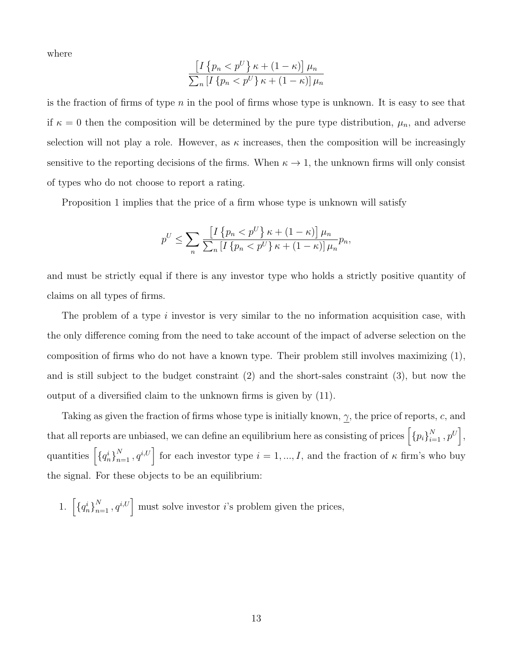where

$$
\frac{\left[I\left\{p_n < p^U\right\} \kappa + (1 - \kappa)\right] \mu_n}{\sum_n \left[I\left\{p_n < p^U\right\} \kappa + (1 - \kappa)\right] \mu_n}
$$

is the fraction of firms of type  $n$  in the pool of firms whose type is unknown. It is easy to see that if  $\kappa = 0$  then the composition will be determined by the pure type distribution,  $\mu_n$ , and adverse selection will not play a role. However, as  $\kappa$  increases, then the composition will be increasingly sensitive to the reporting decisions of the firms. When  $\kappa \to 1$ , the unknown firms will only consist of types who do not choose to report a rating.

Proposition 1 implies that the price of a firm whose type is unknown will satisfy

$$
p^{U} \leq \sum_{n} \frac{\left[I\left\{p_{n} < p^{U}\right\} \kappa + (1 - \kappa)\right] \mu_{n}}{\sum_{n} \left[I\left\{p_{n} < p^{U}\right\} \kappa + (1 - \kappa)\right] \mu_{n}} p_{n},
$$

and must be strictly equal if there is any investor type who holds a strictly positive quantity of claims on all types of firms.

The problem of a type i investor is very similar to the no information acquisition case, with the only difference coming from the need to take account of the impact of adverse selection on the composition of firms who do not have a known type. Their problem still involves maximizing (1), and is still subject to the budget constraint (2) and the short-sales constraint (3), but now the output of a diversified claim to the unknown firms is given by (11).

Taking as given the fraction of firms whose type is initially known,  $\gamma$ , the price of reports, c, and that all reports are unbiased, we can define an equilibrium here as consisting of prices  $\left[\{p_i\}_{i=1}^N, p^U\right]$ , quantities  $\left[\left\{q_n^i\right\}_{n=1}^N, q^{i,U}\right]$  for each investor type  $i=1, ..., I$ , and the fraction of  $\kappa$  firm's who buy the signal. For these objects to be an equilibrium:

1.  $\left[\left\{q_n^i\right\}_{n=1}^N, q^{i,U}\right]$  must solve investor *i*'s problem given the prices,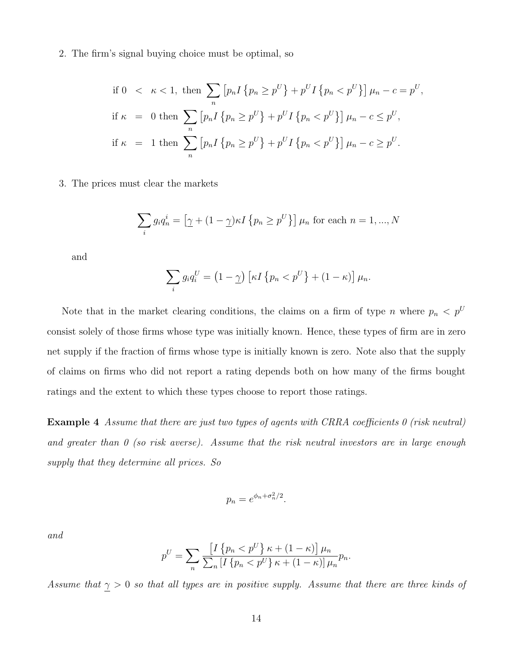2. The firm's signal buying choice must be optimal, so

\n if 
$$
0 < \kappa < 1
$$
, then\n  $\sum_{n} \left[ p_n I \{ p_n \geq p^U \} + p^U I \{ p_n < p^U \} \right] \mu_n - c = p^U,$ \n

\n\n if  $\kappa = 0$  then\n  $\sum_{n} \left[ p_n I \{ p_n \geq p^U \} + p^U I \{ p_n < p^U \} \right] \mu_n - c \leq p^U,$ \n

\n\n if  $\kappa = 1$  then\n  $\sum_{n} \left[ p_n I \{ p_n \geq p^U \} + p^U I \{ p_n < p^U \} \right] \mu_n - c \geq p^U.$ \n

3. The prices must clear the markets

$$
\sum_{i} g_i q_n^i = \left[ \gamma + (1 - \gamma) \kappa I \{ p_n \ge p^U \} \right] \mu_n \text{ for each } n = 1, ..., N
$$

and

$$
\sum_{i} g_i q_i^U = (1 - \underline{\gamma}) \left[ \kappa I \left\{ p_n < p^U \right\} + (1 - \kappa) \right] \mu_n.
$$

Note that in the market clearing conditions, the claims on a firm of type n where  $p_n < p^U$ consist solely of those firms whose type was initially known. Hence, these types of firm are in zero net supply if the fraction of firms whose type is initially known is zero. Note also that the supply of claims on firms who did not report a rating depends both on how many of the firms bought ratings and the extent to which these types choose to report those ratings.

Example 4 Assume that there are just two types of agents with CRRA coefficients 0 (risk neutral) and greater than  $\theta$  (so risk averse). Assume that the risk neutral investors are in large enough supply that they determine all prices. So

$$
p_n = e^{\phi_n + \sigma_n^2/2}.
$$

and

$$
p^{U} = \sum_{n} \frac{\left[I\left\{p_{n} < p^{U}\right\} \kappa + (1 - \kappa)\right] \mu_{n}}{\sum_{n} \left[I\left\{p_{n} < p^{U}\right\} \kappa + (1 - \kappa)\right] \mu_{n}} p_{n}.
$$

Assume that  $\gamma > 0$  so that all types are in positive supply. Assume that there are three kinds of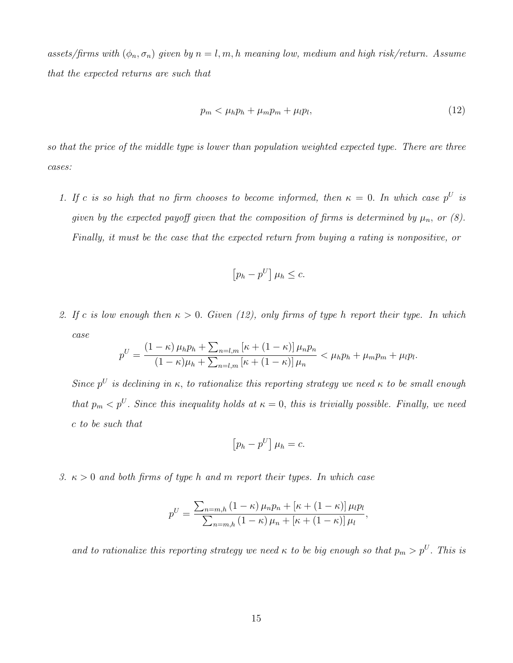assets/firms with  $(\phi_n, \sigma_n)$  given by  $n = l, m, h$  meaning low, medium and high risk/return. Assume that the expected returns are such that

$$
p_m < \mu_h p_h + \mu_m p_m + \mu_l p_l,\tag{12}
$$

so that the price of the middle type is lower than population weighted expected type. There are three cases:

1. If c is so high that no firm chooses to become informed, then  $\kappa = 0$ . In which case  $p^U$  is given by the expected payoff given that the composition of firms is determined by  $\mu_n$ , or (8). Finally, it must be the case that the expected return from buying a rating is nonpositive, or

$$
\left[p_h - p^U\right] \mu_h \leq c.
$$

2. If c is low enough then  $\kappa > 0$ . Given (12), only firms of type h report their type. In which  $case$ 

$$
p^{U} = \frac{\left(1 - \kappa\right)\mu_h p_h + \sum_{n = l,m} \left[\kappa + \left(1 - \kappa\right)\right] \mu_n p_n}{\left(1 - \kappa\right)\mu_h + \sum_{n = l,m} \left[\kappa + \left(1 - \kappa\right)\right] \mu_n} < \mu_h p_h + \mu_m p_m + \mu_l p_l.
$$

Since  $p^U$  is declining in  $\kappa$ , to rationalize this reporting strategy we need  $\kappa$  to be small enough that  $p_m < p^U$ . Since this inequality holds at  $\kappa = 0$ , this is trivially possible. Finally, we need c to be such that

$$
\left[p_h - p^U\right]\mu_h = c.
$$

3.  $\kappa > 0$  and both firms of type h and m report their types. In which case

$$
p^{U} = \frac{\sum_{n=m,h} (1 - \kappa) \mu_n p_n + [\kappa + (1 - \kappa)] \mu_l p_l}{\sum_{n=m,h} (1 - \kappa) \mu_n + [\kappa + (1 - \kappa)] \mu_l},
$$

and to rationalize this reporting strategy we need  $\kappa$  to be big enough so that  $p_m > p^U$ . This is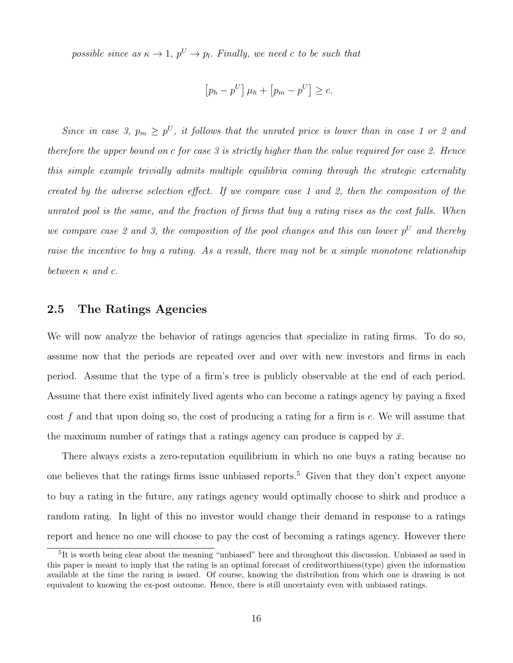possible since as  $\kappa \to 1$ ,  $p^U \to p_l$ . Finally, we need c to be such that

$$
[p_h - p^U] \mu_h + [p_m - p^U] \geq c.
$$

Since in case 3,  $p_m \geq p^U$ , it follows that the unrated price is lower than in case 1 or 2 and therefore the upper bound on c for case 3 is strictly higher than the value required for case 2. Hence this simple example trivially admits multiple equilibria coming through the strategic externality created by the adverse selection effect. If we compare case 1 and 2, then the composition of the unrated pool is the same, and the fraction of firms that buy a rating rises as the cost falls. When we compare case 2 and 3, the composition of the pool changes and this can lower  $p^U$  and thereby raise the incentive to buy a rating. As a result, there may not be a simple monotone relationship between  $\kappa$  and  $c$ .

### 2.5 The Ratings Agencies

We will now analyze the behavior of ratings agencies that specialize in rating firms. To do so, assume now that the periods are repeated over and over with new investors and firms in each period. Assume that the type of a firm's tree is publicly observable at the end of each period. Assume that there exist infinitely lived agents who can become a ratings agency by paying a fixed cost f and that upon doing so, the cost of producing a rating for a firm is  $e$ . We will assume that the maximum number of ratings that a ratings agency can produce is capped by  $\bar{x}$ .

There always exists a zero-reputation equilibrium in which no one buys a rating because no one believes that the ratings firms issue unbiased reports.<sup>5</sup> Given that they don't expect anyone to buy a rating in the future, any ratings agency would optimally choose to shirk and produce a random rating. In light of this no investor would change their demand in response to a ratings report and hence no one will choose to pay the cost of becoming a ratings agency. However there

<sup>&</sup>lt;sup>5</sup>It is worth being clear about the meaning "unbiased" here and throughout this discussion. Unbiased as used in this paper is meant to imply that the rating is an optimal forecast of creditworthiness(type) given the information available at the time the raring is issued. Of course, knowing the distribution from which one is drawing is not equivalent to knowing the ex-post outcome. Hence, there is still uncertainty even with unbiased ratings.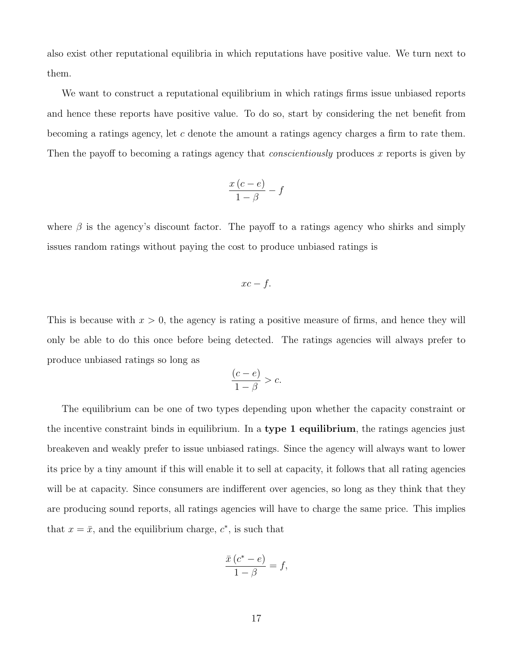also exist other reputational equilibria in which reputations have positive value. We turn next to them.

We want to construct a reputational equilibrium in which ratings firms issue unbiased reports and hence these reports have positive value. To do so, start by considering the net benefit from becoming a ratings agency, let c denote the amount a ratings agency charges a firm to rate them. Then the payoff to becoming a ratings agency that *conscientiously* produces x reports is given by

$$
\frac{x(c-e)}{1-\beta}-f
$$

where  $\beta$  is the agency's discount factor. The payoff to a ratings agency who shirks and simply issues random ratings without paying the cost to produce unbiased ratings is

$$
xc - f.
$$

This is because with  $x > 0$ , the agency is rating a positive measure of firms, and hence they will only be able to do this once before being detected. The ratings agencies will always prefer to produce unbiased ratings so long as

$$
\frac{(c-e)}{1-\beta} > c.
$$

The equilibrium can be one of two types depending upon whether the capacity constraint or the incentive constraint binds in equilibrium. In a type 1 equilibrium, the ratings agencies just breakeven and weakly prefer to issue unbiased ratings. Since the agency will always want to lower its price by a tiny amount if this will enable it to sell at capacity, it follows that all rating agencies will be at capacity. Since consumers are indifferent over agencies, so long as they think that they are producing sound reports, all ratings agencies will have to charge the same price. This implies that  $x = \bar{x}$ , and the equilibrium charge,  $c^*$ , is such that

$$
\frac{\bar{x}(c^*-e)}{1-\beta} = f,
$$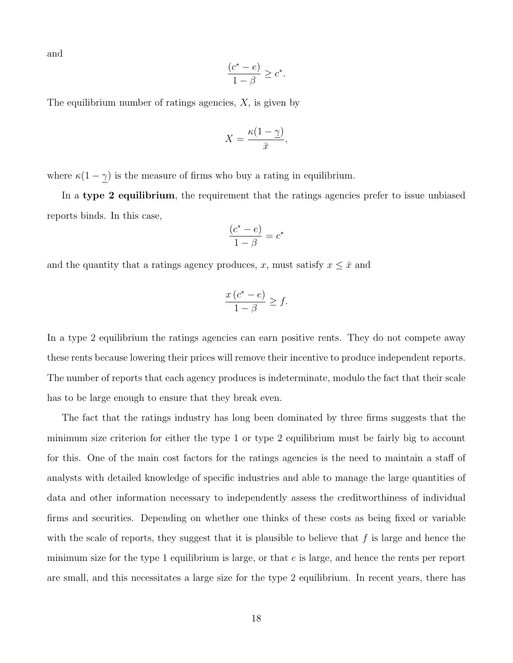and

$$
\frac{(c^*-e)}{1-\beta} \ge c^*.
$$

The equilibrium number of ratings agencies,  $X$ , is given by

$$
X = \frac{\kappa(1-\underline{\gamma})}{\bar{x}},
$$

where  $\kappa(1-\underline{\gamma})$  is the measure of firms who buy a rating in equilibrium.

In a type 2 equilibrium, the requirement that the ratings agencies prefer to issue unbiased reports binds. In this case,

$$
\frac{(c^*-e)}{1-\beta}=c^*
$$

and the quantity that a ratings agency produces, x, must satisfy  $x \leq \bar{x}$  and

$$
\frac{x(c^*-e)}{1-\beta} \ge f.
$$

In a type 2 equilibrium the ratings agencies can earn positive rents. They do not compete away these rents because lowering their prices will remove their incentive to produce independent reports. The number of reports that each agency produces is indeterminate, modulo the fact that their scale has to be large enough to ensure that they break even.

The fact that the ratings industry has long been dominated by three firms suggests that the minimum size criterion for either the type 1 or type 2 equilibrium must be fairly big to account for this. One of the main cost factors for the ratings agencies is the need to maintain a staff of analysts with detailed knowledge of specific industries and able to manage the large quantities of data and other information necessary to independently assess the creditworthiness of individual firms and securities. Depending on whether one thinks of these costs as being fixed or variable with the scale of reports, they suggest that it is plausible to believe that  $f$  is large and hence the minimum size for the type 1 equilibrium is large, or that  $e$  is large, and hence the rents per report are small, and this necessitates a large size for the type 2 equilibrium. In recent years, there has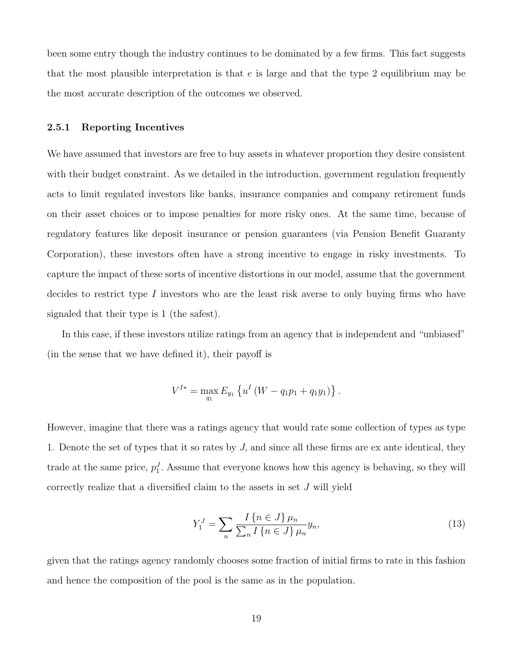been some entry though the industry continues to be dominated by a few firms. This fact suggests that the most plausible interpretation is that  $e$  is large and that the type 2 equilibrium may be the most accurate description of the outcomes we observed.

#### 2.5.1 Reporting Incentives

We have assumed that investors are free to buy assets in whatever proportion they desire consistent with their budget constraint. As we detailed in the introduction, government regulation frequently acts to limit regulated investors like banks, insurance companies and company retirement funds on their asset choices or to impose penalties for more risky ones. At the same time, because of regulatory features like deposit insurance or pension guarantees (via Pension Benefit Guaranty Corporation), these investors often have a strong incentive to engage in risky investments. To capture the impact of these sorts of incentive distortions in our model, assume that the government decides to restrict type I investors who are the least risk averse to only buying firms who have signaled that their type is 1 (the safest).

In this case, if these investors utilize ratings from an agency that is independent and "unbiased" (in the sense that we have defined it), their payoff is

$$
V^{I*} = \max_{q_1} E_{y_1} \left\{ u^I \left( W - q_1 p_1 + q_1 y_1 \right) \right\}.
$$

However, imagine that there was a ratings agency that would rate some collection of types as type 1. Denote the set of types that it so rates by J, and since all these firms are ex ante identical, they trade at the same price,  $p_1^J$ . Assume that everyone knows how this agency is behaving, so they will correctly realize that a diversified claim to the assets in set J will yield

$$
Y_1^J = \sum_{n} \frac{I\{n \in J\} \mu_n}{\sum_{n} I\{n \in J\} \mu_n} y_n,\tag{13}
$$

given that the ratings agency randomly chooses some fraction of initial firms to rate in this fashion and hence the composition of the pool is the same as in the population.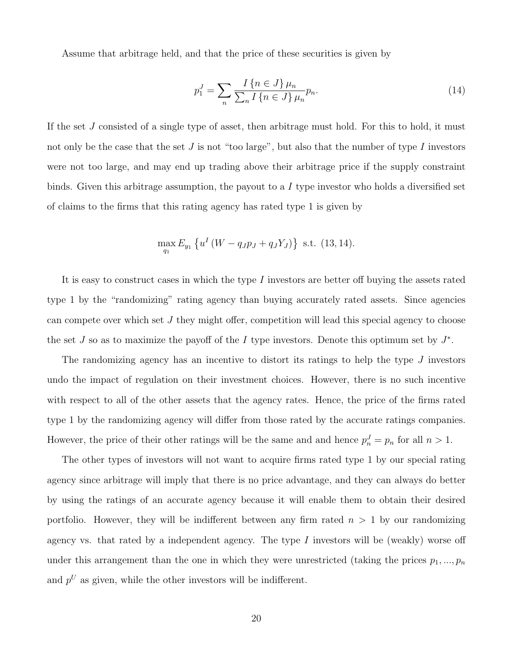Assume that arbitrage held, and that the price of these securities is given by

$$
p_1^J = \sum_{n} \frac{I\{n \in J\} \mu_n}{\sum_{n} I\{n \in J\} \mu_n} p_n.
$$
 (14)

If the set J consisted of a single type of asset, then arbitrage must hold. For this to hold, it must not only be the case that the set  $J$  is not "too large", but also that the number of type  $I$  investors were not too large, and may end up trading above their arbitrage price if the supply constraint binds. Given this arbitrage assumption, the payout to a  $I$  type investor who holds a diversified set of claims to the firms that this rating agency has rated type 1 is given by

$$
\max_{q_1} E_{y_1} \left\{ u^I \left( W - q_J p_J + q_J Y_J \right) \right\} \text{ s.t. (13, 14).}
$$

It is easy to construct cases in which the type I investors are better off buying the assets rated type 1 by the "randomizing" rating agency than buying accurately rated assets. Since agencies can compete over which set  $J$  they might offer, competition will lead this special agency to choose the set J so as to maximize the payoff of the I type investors. Denote this optimum set by  $J^*$ .

The randomizing agency has an incentive to distort its ratings to help the type J investors undo the impact of regulation on their investment choices. However, there is no such incentive with respect to all of the other assets that the agency rates. Hence, the price of the firms rated type 1 by the randomizing agency will differ from those rated by the accurate ratings companies. However, the price of their other ratings will be the same and and hence  $p_n^J = p_n$  for all  $n > 1$ .

The other types of investors will not want to acquire firms rated type 1 by our special rating agency since arbitrage will imply that there is no price advantage, and they can always do better by using the ratings of an accurate agency because it will enable them to obtain their desired portfolio. However, they will be indifferent between any firm rated  $n > 1$  by our randomizing agency vs. that rated by a independent agency. The type  $I$  investors will be (weakly) worse off under this arrangement than the one in which they were unrestricted (taking the prices  $p_1, ..., p_n$ ) and  $p^U$  as given, while the other investors will be indifferent.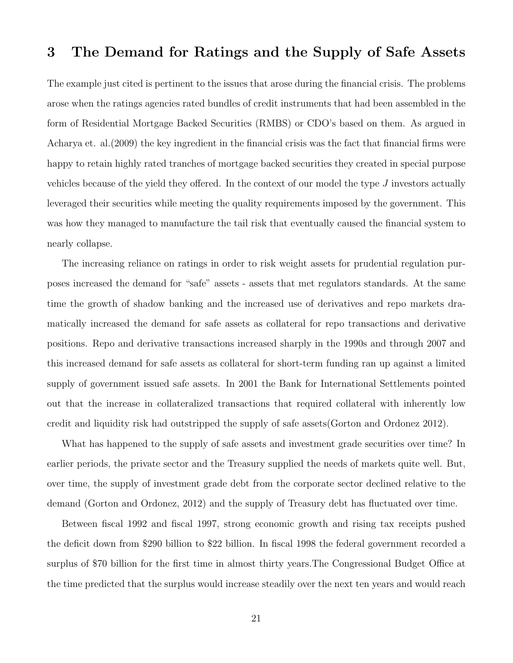# 3 The Demand for Ratings and the Supply of Safe Assets

The example just cited is pertinent to the issues that arose during the financial crisis. The problems arose when the ratings agencies rated bundles of credit instruments that had been assembled in the form of Residential Mortgage Backed Securities (RMBS) or CDO's based on them. As argued in Acharya et. al.(2009) the key ingredient in the financial crisis was the fact that financial firms were happy to retain highly rated tranches of mortgage backed securities they created in special purpose vehicles because of the yield they offered. In the context of our model the type J investors actually leveraged their securities while meeting the quality requirements imposed by the government. This was how they managed to manufacture the tail risk that eventually caused the financial system to nearly collapse.

The increasing reliance on ratings in order to risk weight assets for prudential regulation purposes increased the demand for "safe" assets - assets that met regulators standards. At the same time the growth of shadow banking and the increased use of derivatives and repo markets dramatically increased the demand for safe assets as collateral for repo transactions and derivative positions. Repo and derivative transactions increased sharply in the 1990s and through 2007 and this increased demand for safe assets as collateral for short-term funding ran up against a limited supply of government issued safe assets. In 2001 the Bank for International Settlements pointed out that the increase in collateralized transactions that required collateral with inherently low credit and liquidity risk had outstripped the supply of safe assets(Gorton and Ordonez 2012).

What has happened to the supply of safe assets and investment grade securities over time? In earlier periods, the private sector and the Treasury supplied the needs of markets quite well. But, over time, the supply of investment grade debt from the corporate sector declined relative to the demand (Gorton and Ordonez, 2012) and the supply of Treasury debt has fluctuated over time.

Between fiscal 1992 and fiscal 1997, strong economic growth and rising tax receipts pushed the deficit down from \$290 billion to \$22 billion. In fiscal 1998 the federal government recorded a surplus of \$70 billion for the first time in almost thirty years.The Congressional Budget Office at the time predicted that the surplus would increase steadily over the next ten years and would reach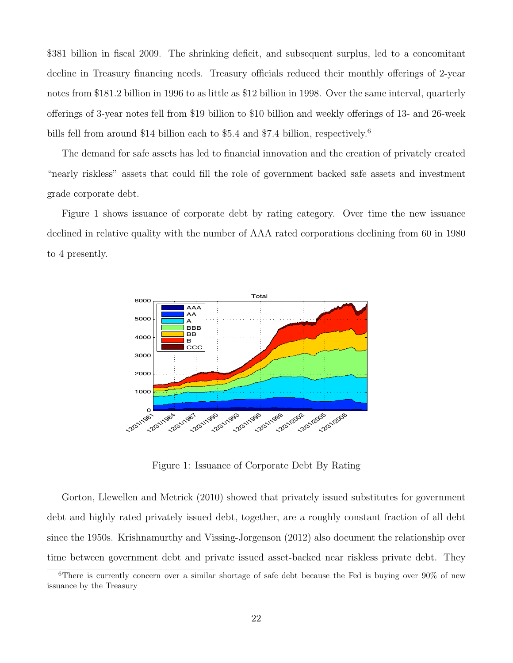\$381 billion in fiscal 2009. The shrinking deficit, and subsequent surplus, led to a concomitant decline in Treasury financing needs. Treasury officials reduced their monthly offerings of 2-year notes from \$181.2 billion in 1996 to as little as \$12 billion in 1998. Over the same interval, quarterly offerings of 3-year notes fell from \$19 billion to \$10 billion and weekly offerings of 13- and 26-week bills fell from around \$14 billion each to \$5.4 and \$7.4 billion, respectively.<sup>6</sup> on and weekly offerings of 13- and 26-week<br>billion, respectively.<sup>6</sup><br>vation and the creation of privately created

The demand for safe assets has led to financial innovation and the creation of privately created "nearly riskless" assets that could fill the role of government backed safe assets and investment grade corporate debt.

Figure 1 shows issuance of corporate debt by rating category. Over time the new issuance declined in relative quality with the number of AAA rated corporations declining from 60 in 1980 to 4 presently.



Figure 1: Issuance of Corporate Debt By Rating

time between government debt and private issued asset-backed near riskless private debt. They Gorton, Llewellen and Metrick (2010) showed that privately issued substitutes for government debt and highly rated privately issued debt, together, are a roughly constant fraction of all debt since the 1950s. Krishnamurthy and Vissing-Jorgenson (2012) also document the relationship over

<sup>&</sup>lt;sup>6</sup>There is currently concern over a similar shortage of safe debt because the Fed is buying over  $90\%$  of new issuance by the Treasury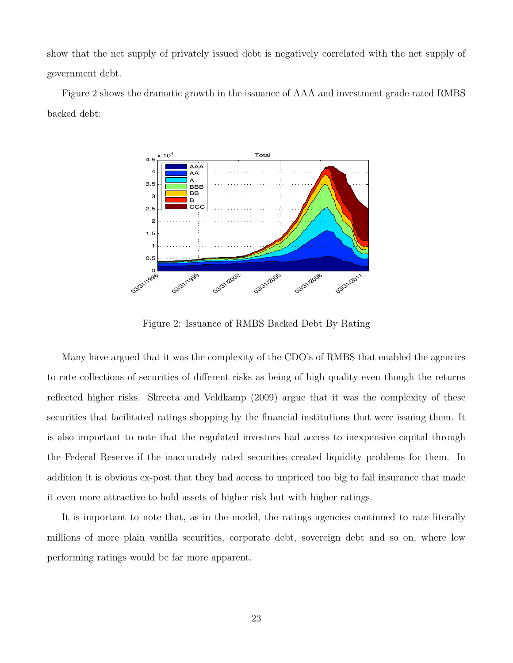show that the net supply of privately issued debt is negatively correlated with the net supply of government debt.

Figure 2 shows the dramatic growth in the issuance of AAA and investment grade rated RMBS backed debt:



Figure 2: Issuance of RMBS Backed Debt By Rating

securities that facilitated ratings shopping by the financial institutions that were issuing them. It Many have argued that it was the complexity of the CDO's of RMBS that enabled the agencies to rate collections of securities of different risks as being of high quality even though the returns reflected higher risks. Skreeta and Veldkamp (2009) argue that it was the complexity of these is also important to note that the regulated investors had access to inexpensive capital through the Federal Reserve if the inaccurately rated securities created liquidity problems for them. In addition it is obvious ex-post that they had access to unpriced too big to fail insurance that made it even more attractive to hold assets of higher risk but with higher ratings.

It is important to note that, as in the model, the ratings agencies continued to rate literally millions of more plain vanilla securities, corporate debt, sovereign debt and so on, where low performing ratings would be far more apparent.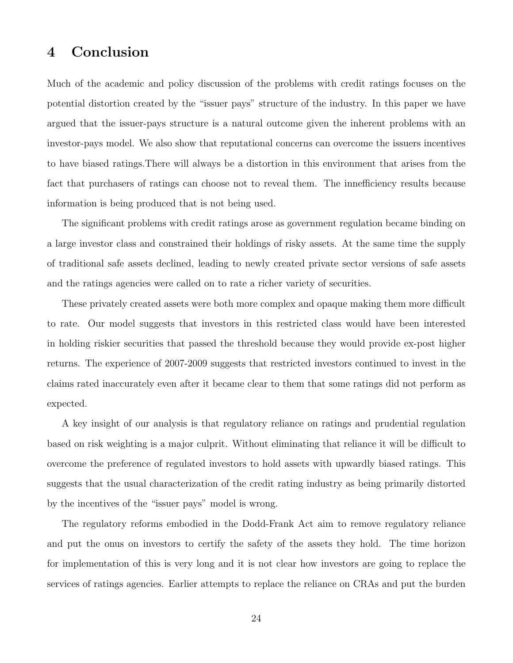# 4 Conclusion

Much of the academic and policy discussion of the problems with credit ratings focuses on the potential distortion created by the "issuer pays" structure of the industry. In this paper we have argued that the issuer-pays structure is a natural outcome given the inherent problems with an investor-pays model. We also show that reputational concerns can overcome the issuers incentives to have biased ratings.There will always be a distortion in this environment that arises from the fact that purchasers of ratings can choose not to reveal them. The innefficiency results because information is being produced that is not being used.

The significant problems with credit ratings arose as government regulation became binding on a large investor class and constrained their holdings of risky assets. At the same time the supply of traditional safe assets declined, leading to newly created private sector versions of safe assets and the ratings agencies were called on to rate a richer variety of securities.

These privately created assets were both more complex and opaque making them more difficult to rate. Our model suggests that investors in this restricted class would have been interested in holding riskier securities that passed the threshold because they would provide ex-post higher returns. The experience of 2007-2009 suggests that restricted investors continued to invest in the claims rated inaccurately even after it became clear to them that some ratings did not perform as expected.

A key insight of our analysis is that regulatory reliance on ratings and prudential regulation based on risk weighting is a major culprit. Without eliminating that reliance it will be difficult to overcome the preference of regulated investors to hold assets with upwardly biased ratings. This suggests that the usual characterization of the credit rating industry as being primarily distorted by the incentives of the "issuer pays" model is wrong.

The regulatory reforms embodied in the Dodd-Frank Act aim to remove regulatory reliance and put the onus on investors to certify the safety of the assets they hold. The time horizon for implementation of this is very long and it is not clear how investors are going to replace the services of ratings agencies. Earlier attempts to replace the reliance on CRAs and put the burden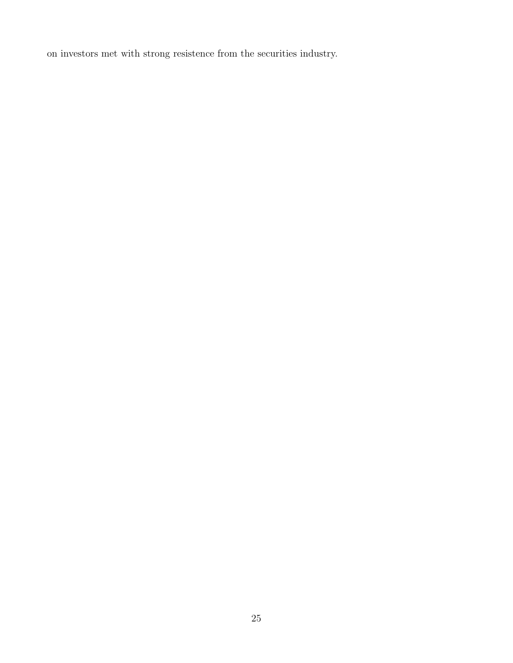on investors met with strong resistence from the securities industry.